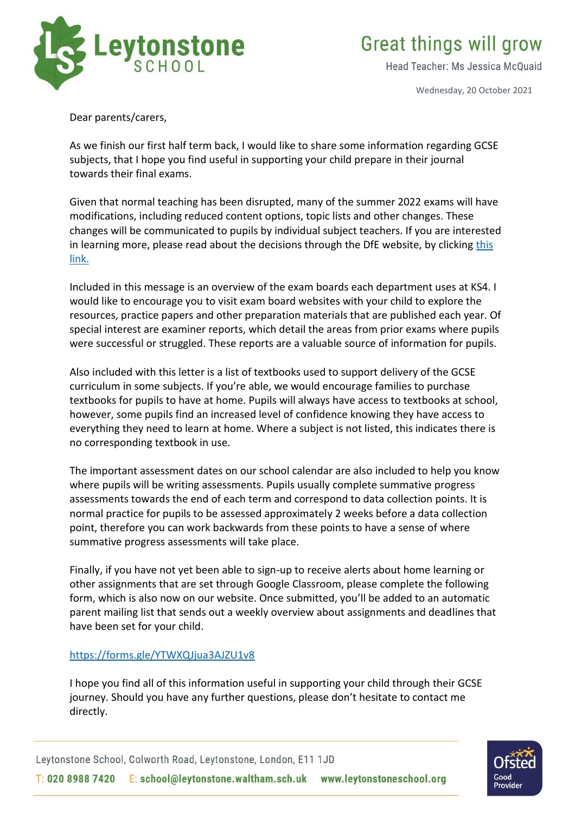

Head Teacher: Ms Jessica McQuaid

Wednesday, 20 October 2021

Dear parents/carers,

As we finish our first half term back, I would like to share some information regarding GCSE subjects, that I hope you find useful in supporting your child prepare in their journal towards their final exams.

Given that normal teaching has been disrupted, many of the summer 2022 exams will have modifications, including reduced content options, topic lists and other changes. These changes will be communicated to pupils by individual subject teachers. If you are interested in learning more, please read about the decisions through the DfE website, by clicking this [link.](https://www.gov.uk/government/consultations/proposed-changes-to-the-assessment-of-gcses-as-and-a-levels-in-2022/outcome/decisions-proposed-changes-to-the-assessment-of-gcses-as-and-a-levels-in-2022)

Included in this message is an overview of the exam boards each department uses at KS4. I would like to encourage you to visit exam board websites with your child to explore the resources, practice papers and other preparation materials that are published each year. Of special interest are examiner reports, which detail the areas from prior exams where pupils were successful or struggled. These reports are a valuable source of information for pupils.

Also included with this letter is a list of textbooks used to support delivery of the GCSE curriculum in some subjects. If you're able, we would encourage families to purchase textbooks for pupils to have at home. Pupils will always have access to textbooks at school, however, some pupils find an increased level of confidence knowing they have access to everything they need to learn at home. Where a subject is not listed, this indicates there is no corresponding textbook in use.

The important assessment dates on our school calendar are also included to help you know where pupils will be writing assessments. Pupils usually complete summative progress assessments towards the end of each term and correspond to data collection points. It is normal practice for pupils to be assessed approximately 2 weeks before a data collection point, therefore you can work backwards from these points to have a sense of where summative progress assessments will take place.

Finally, if you have not yet been able to sign-up to receive alerts about home learning or other assignments that are set through Google Classroom, please complete the following form, which is also now on our website. Once submitted, you'll be added to an automatic parent mailing list that sends out a weekly overview about assignments and deadlines that have been set for your child.

### <https://forms.gle/YTWXQJjua3AJZU1v8>

I hope you find all of this information useful in supporting your child through their GCSE journey. Should you have any further questions, please don't hesitate to contact me directly.



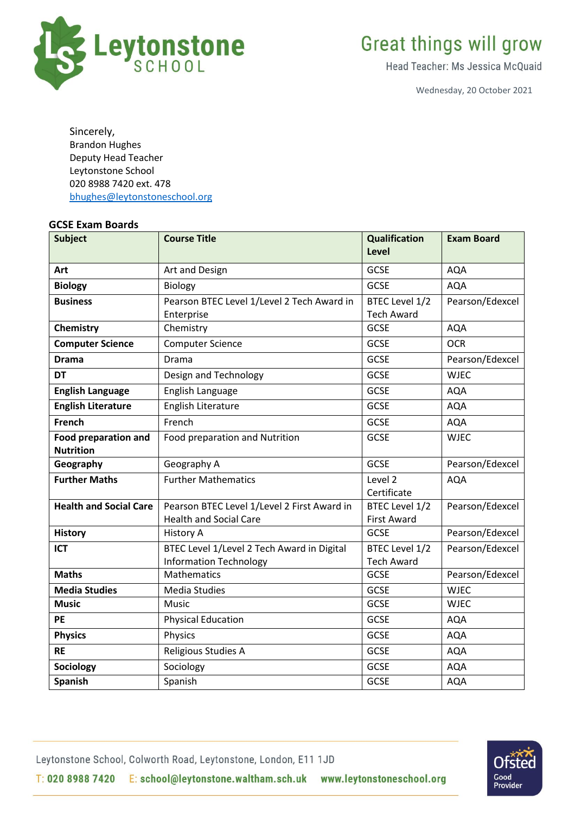

Head Teacher: Ms Jessica McQuaid

Wednesday, 20 October 2021

Sincerely, Brandon Hughes Deputy Head Teacher Leytonstone School 020 8988 7420 ext. 478 [bhughes@leytonstoneschool.org](mailto:bhughes@leytonstoneschool.org)

### **GCSE Exam Boards**

| <b>Subject</b>                | <b>Course Title</b>                                                          | <b>Qualification</b><br><b>Level</b> | <b>Exam Board</b> |
|-------------------------------|------------------------------------------------------------------------------|--------------------------------------|-------------------|
| Art                           | Art and Design                                                               | <b>GCSE</b>                          | <b>AQA</b>        |
| <b>Biology</b>                | <b>Biology</b>                                                               | <b>GCSE</b>                          | <b>AQA</b>        |
| <b>Business</b>               | Pearson BTEC Level 1/Level 2 Tech Award in                                   | BTEC Level 1/2                       | Pearson/Edexcel   |
|                               | Enterprise                                                                   | <b>Tech Award</b>                    |                   |
| Chemistry                     | Chemistry                                                                    | <b>GCSE</b>                          | <b>AQA</b>        |
| <b>Computer Science</b>       | <b>Computer Science</b>                                                      | <b>GCSE</b>                          | <b>OCR</b>        |
| <b>Drama</b>                  | Drama                                                                        | <b>GCSE</b>                          | Pearson/Edexcel   |
| <b>DT</b>                     | Design and Technology                                                        | <b>GCSE</b>                          | <b>WJEC</b>       |
| <b>English Language</b>       | English Language                                                             | <b>GCSE</b>                          | <b>AQA</b>        |
| <b>English Literature</b>     | English Literature                                                           | <b>GCSE</b>                          | <b>AQA</b>        |
| <b>French</b>                 | French                                                                       | <b>GCSE</b>                          | <b>AQA</b>        |
| <b>Food preparation and</b>   | Food preparation and Nutrition                                               | <b>GCSE</b>                          | <b>WJEC</b>       |
| <b>Nutrition</b>              |                                                                              |                                      |                   |
| Geography                     | Geography A                                                                  | <b>GCSE</b>                          | Pearson/Edexcel   |
| <b>Further Maths</b>          | <b>Further Mathematics</b>                                                   | Level 2<br>Certificate               | <b>AQA</b>        |
| <b>Health and Social Care</b> | Pearson BTEC Level 1/Level 2 First Award in<br><b>Health and Social Care</b> | BTEC Level 1/2<br><b>First Award</b> | Pearson/Edexcel   |
| <b>History</b>                | <b>History A</b>                                                             | <b>GCSE</b>                          | Pearson/Edexcel   |
| <b>ICT</b>                    | BTEC Level 1/Level 2 Tech Award in Digital                                   | BTEC Level 1/2                       | Pearson/Edexcel   |
|                               | <b>Information Technology</b>                                                | <b>Tech Award</b>                    |                   |
| <b>Maths</b>                  | Mathematics                                                                  | <b>GCSE</b>                          | Pearson/Edexcel   |
| <b>Media Studies</b>          | <b>Media Studies</b>                                                         | <b>GCSE</b>                          | <b>WJEC</b>       |
| <b>Music</b>                  | <b>Music</b>                                                                 | <b>GCSE</b>                          | <b>WJEC</b>       |
| <b>PE</b>                     | <b>Physical Education</b>                                                    | <b>GCSE</b>                          | <b>AQA</b>        |
| <b>Physics</b>                | Physics                                                                      | <b>GCSE</b>                          | <b>AQA</b>        |
| <b>RE</b>                     | Religious Studies A                                                          | <b>GCSE</b>                          | <b>AQA</b>        |
| Sociology                     | Sociology                                                                    | <b>GCSE</b>                          | <b>AQA</b>        |
| <b>Spanish</b>                | Spanish                                                                      | <b>GCSE</b>                          | <b>AQA</b>        |



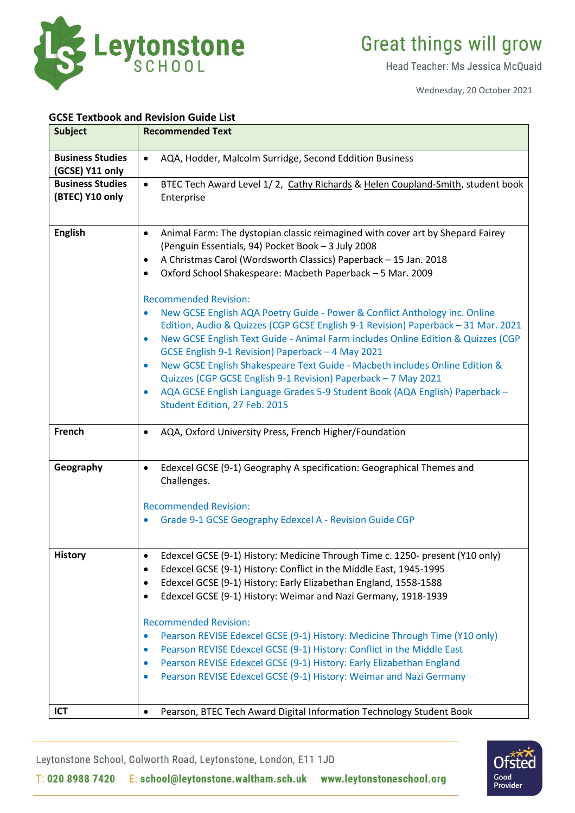

Head Teacher: Ms Jessica McQuaid

Wednesday, 20 October 2021

### **GCSE Textbook and Revision Guide List**

| <b>Subject</b>                             | <b>Recommended Text</b>                                                                                                                                                                                                                                                                                                                                                                                                                                                                                                                                                                                                                                                                                                                                                                                                                                                                                                                                   |  |
|--------------------------------------------|-----------------------------------------------------------------------------------------------------------------------------------------------------------------------------------------------------------------------------------------------------------------------------------------------------------------------------------------------------------------------------------------------------------------------------------------------------------------------------------------------------------------------------------------------------------------------------------------------------------------------------------------------------------------------------------------------------------------------------------------------------------------------------------------------------------------------------------------------------------------------------------------------------------------------------------------------------------|--|
| <b>Business Studies</b><br>(GCSE) Y11 only | AQA, Hodder, Malcolm Surridge, Second Eddition Business<br>$\bullet$                                                                                                                                                                                                                                                                                                                                                                                                                                                                                                                                                                                                                                                                                                                                                                                                                                                                                      |  |
| <b>Business Studies</b><br>(BTEC) Y10 only | BTEC Tech Award Level 1/ 2, Cathy Richards & Helen Coupland-Smith, student book<br>$\bullet$<br>Enterprise                                                                                                                                                                                                                                                                                                                                                                                                                                                                                                                                                                                                                                                                                                                                                                                                                                                |  |
| <b>English</b>                             | Animal Farm: The dystopian classic reimagined with cover art by Shepard Fairey<br>$\bullet$<br>(Penguin Essentials, 94) Pocket Book - 3 July 2008<br>A Christmas Carol (Wordsworth Classics) Paperback - 15 Jan. 2018<br>Oxford School Shakespeare: Macbeth Paperback - 5 Mar. 2009<br>$\bullet$<br><b>Recommended Revision:</b><br>New GCSE English AQA Poetry Guide - Power & Conflict Anthology inc. Online<br>$\bullet$<br>Edition, Audio & Quizzes (CGP GCSE English 9-1 Revision) Paperback - 31 Mar. 2021<br>New GCSE English Text Guide - Animal Farm includes Online Edition & Quizzes (CGP<br>$\bullet$<br>GCSE English 9-1 Revision) Paperback - 4 May 2021<br>New GCSE English Shakespeare Text Guide - Macbeth includes Online Edition &<br>$\bullet$<br>Quizzes (CGP GCSE English 9-1 Revision) Paperback - 7 May 2021<br>AQA GCSE English Language Grades 5-9 Student Book (AQA English) Paperback -<br>۰<br>Student Edition, 27 Feb. 2015 |  |
| <b>French</b>                              | AQA, Oxford University Press, French Higher/Foundation                                                                                                                                                                                                                                                                                                                                                                                                                                                                                                                                                                                                                                                                                                                                                                                                                                                                                                    |  |
| Geography                                  | Edexcel GCSE (9-1) Geography A specification: Geographical Themes and<br>$\bullet$<br>Challenges.<br><b>Recommended Revision:</b><br>Grade 9-1 GCSE Geography Edexcel A - Revision Guide CGP                                                                                                                                                                                                                                                                                                                                                                                                                                                                                                                                                                                                                                                                                                                                                              |  |
| <b>History</b>                             | Edexcel GCSE (9-1) History: Medicine Through Time c. 1250- present (Y10 only)<br>$\bullet$<br>Edexcel GCSE (9-1) History: Conflict in the Middle East, 1945-1995<br>$\bullet$<br>Edexcel GCSE (9-1) History: Early Elizabethan England, 1558-1588<br>٠<br>Edexcel GCSE (9-1) History: Weimar and Nazi Germany, 1918-1939<br>$\bullet$<br><b>Recommended Revision:</b><br>Pearson REVISE Edexcel GCSE (9-1) History: Medicine Through Time (Y10 only)<br>Pearson REVISE Edexcel GCSE (9-1) History: Conflict in the Middle East<br>Pearson REVISE Edexcel GCSE (9-1) History: Early Elizabethan England<br>$\bullet$<br>Pearson REVISE Edexcel GCSE (9-1) History: Weimar and Nazi Germany                                                                                                                                                                                                                                                                 |  |
| ICT                                        | Pearson, BTEC Tech Award Digital Information Technology Student Book<br>$\bullet$                                                                                                                                                                                                                                                                                                                                                                                                                                                                                                                                                                                                                                                                                                                                                                                                                                                                         |  |



Good Provider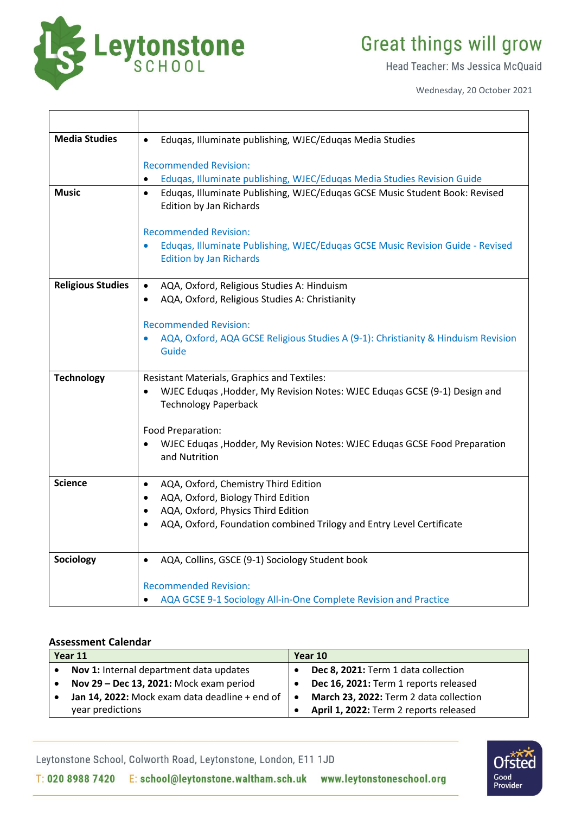

Head Teacher: Ms Jessica McQuaid

Wednesday, 20 October 2021

| <b>Media Studies</b>     | Eduqas, Illuminate publishing, WJEC/Eduqas Media Studies<br>$\bullet$                                            |  |
|--------------------------|------------------------------------------------------------------------------------------------------------------|--|
|                          | <b>Recommended Revision:</b>                                                                                     |  |
|                          | Eduqas, Illuminate publishing, WJEC/Eduqas Media Studies Revision Guide                                          |  |
| <b>Music</b>             | Eduqas, Illuminate Publishing, WJEC/Eduqas GCSE Music Student Book: Revised<br>$\bullet$                         |  |
|                          | Edition by Jan Richards                                                                                          |  |
|                          | <b>Recommended Revision:</b>                                                                                     |  |
|                          | Eduqas, Illuminate Publishing, WJEC/Eduqas GCSE Music Revision Guide - Revised<br><b>Edition by Jan Richards</b> |  |
| <b>Religious Studies</b> | AQA, Oxford, Religious Studies A: Hinduism<br>$\bullet$                                                          |  |
|                          | AQA, Oxford, Religious Studies A: Christianity<br>$\bullet$                                                      |  |
|                          | <b>Recommended Revision:</b>                                                                                     |  |
|                          | AQA, Oxford, AQA GCSE Religious Studies A (9-1): Christianity & Hinduism Revision                                |  |
|                          | Guide                                                                                                            |  |
|                          |                                                                                                                  |  |
| <b>Technology</b>        | Resistant Materials, Graphics and Textiles:                                                                      |  |
|                          | WJEC Eduqas , Hodder, My Revision Notes: WJEC Eduqas GCSE (9-1) Design and<br><b>Technology Paperback</b>        |  |
|                          | Food Preparation:                                                                                                |  |
|                          | WJEC Eduqas , Hodder, My Revision Notes: WJEC Eduqas GCSE Food Preparation                                       |  |
|                          | and Nutrition                                                                                                    |  |
| <b>Science</b>           | AQA, Oxford, Chemistry Third Edition<br>$\bullet$                                                                |  |
|                          | AQA, Oxford, Biology Third Edition<br>$\bullet$                                                                  |  |
|                          | AQA, Oxford, Physics Third Edition<br>$\bullet$                                                                  |  |
|                          | AQA, Oxford, Foundation combined Trilogy and Entry Level Certificate<br>$\bullet$                                |  |
|                          |                                                                                                                  |  |
| Sociology                | AQA, Collins, GSCE (9-1) Sociology Student book<br>$\bullet$                                                     |  |
|                          | <b>Recommended Revision:</b>                                                                                     |  |
|                          | AQA GCSE 9-1 Sociology All-in-One Complete Revision and Practice<br>$\bullet$                                    |  |

#### **Assessment Calendar**

| Year 11 |                                                                     | Year 10 |                                        |
|---------|---------------------------------------------------------------------|---------|----------------------------------------|
|         | Nov 1: Internal department data updates                             |         | Dec 8, 2021: Term 1 data collection    |
|         | Nov 29 - Dec 13, 2021: Mock exam period                             |         | Dec 16, 2021: Term 1 reports released  |
|         | <b>Jan 14, 2022:</b> Mock exam data deadline $+$ end of $\parallel$ |         | March 23, 2022: Term 2 data collection |
|         | year predictions                                                    |         | April 1, 2022: Term 2 reports released |

Leytonstone School, Colworth Road, Leytonstone, London, E11 1JD

T: 020 8988 7420 E: school@leytonstone.waltham.sch.uk www.leytonstoneschool.org